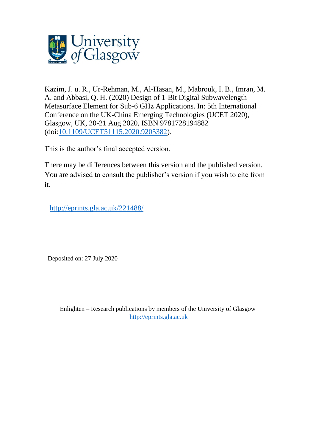

Kazim, J. u. R., Ur-Rehman, M., Al-Hasan, M., Mabrouk, I. B., Imran, M. A. and Abbasi, Q. H. (2020) Design of 1-Bit Digital Subwavelength Metasurface Element for Sub-6 GHz Applications. In: 5th International Conference on the UK-China Emerging Technologies (UCET 2020), Glasgow, UK, 20-21 Aug 2020, ISBN 9781728194882 (doi[:10.1109/UCET51115.2020.9205382\)](http://dx.doi.org/10.1109/UCET51115.2020.9205382).

This is the author's final accepted version.

There may be differences between this version and the published version. You are advised to consult the publisher's version if you wish to cite from it.

[http://eprints.gla.ac.uk/221488/](http://eprints.gla.ac.uk/221488)

Deposited on: 27 July 2020

Enlighten – Research publications by members of the University of Glasgow [http://eprints.gla.ac.uk](http://eprints.gla.ac.uk/)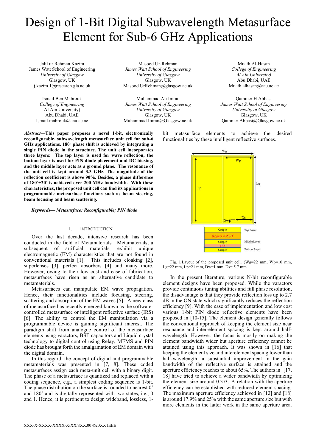# Design of 1-Bit Digital Subwavelength Metasurface Element for Sub-6 GHz Applications

Jalil ur Rehman Kazim James Watt School of Engineering *University of Glasgow* Glasgow, UK j.kazim.1@research.gla.ac.uk

> Ismail Ben Mabrouk *College of Engineering* Al Ain University) Abu Dhabi, UAE Ismail.mabrouk@aau.ac.ae

Masood Ur-Rehman *James Watt School of Engineering University of Glasgow* Glasgow, UK Masood.UrRehman@glasgow.ac.uk

Muhammad Ali Imran *James Watt School of Engineering University of Glasgow* Glasgow, UK Muhammad.Imran@Glasgow.ac.uk

*Abstract***—This paper proposes a novel 1-bit, electronically reconfigurable, subwavelength metasurface unit cell for sub-6 GHz applications. 180o phase shift is achieved by integrating a single PIN diode in the structure. The unit cell incorporates three layers: The top layer is used for wave reflection, the bottom layer is used for PIN diode placement and DC biasing, and the middle layer acts as a ground plane. The resonance of the unit cell is kept around 3.3 GHz. The magnitude of the reflection coefficient is above 90%. Besides, a phase difference of 180˚+20˚ is achieved over 200 MHz bandwidth. With these characteristics, the proposed unit cell can find its applications in programmable metasurface functions such as beam steering, beam focusing and beam scattering.**

# *Keywords— Metasurface; Reconfigurable; PIN diode*

# I. INTRODUCTION

Over the last decade, intensive research has been conducted in the field of Metamaterials. Metamaterials, a subsequent of artificial materials, exhibit unique electromagnetic (EM) characteristics that are not found in conventional materials [1]. This includes cloaking [2], superlenses [3], perfect absorbers [4] and many more. However, owing to their low cost and ease of fabrication, metasurfaces have risen as an alternative candidate to metamaterials.

Metasurfaces can manipulate EM wave propagation. Hence, their functionalities include focusing, steering, scattering and absorption of the EM waves [5]. A new class of metasurface has recently emerged known as the softwarecontrolled metasurface or intelligent reflective surface (IRS) [6]. The ability to control the EM manipulation via a programmable device is gaining significant interest. The paradigm shift from analogue control of the metasurface elements using varactors, BST capacitors and Liquid crystal technology to digital control using Relay, MEMS and PIN diode has brought forth the amalgamation of EM domain with the digital domain.

In this regard, the concept of digital and programmable metamaterials was presented in [7, 8]. These coded metasurfaces assign each meta-unit cell with a binary digit. The phase of a metasurface is quantized and replaced with a coding sequence, e.g., a simplest coding sequence is 1-bit. The phase distribution on the surface is rounded to nearest 0˚ and 180˚ and is digitally represented with two states, i.e., 0 and 1. Hence, it is pertinent to design wideband, lossless, 1-

*Al Ain University)* Abu Dhabi, UAE Muath.alhasan@aau.ac.ae

Muath Al-Hasan *College of Engineering*

Qammer H Abbasi *James Watt School of Engineering University of Glasgow* Glasgow, UK Qammer.Abbasi@Glasgow.ac.uk

bit metasurface elements to achieve the desired functionalities by these intelligent reflective surfaces.



Fig. 1.Layout of the proposed unit cell. (Wg=22 mm, Wp=10 mm, Lg=22 mm, Lp=21 mm, Dw=1 mm, Ds= 5.7 mm

In the present literature, various N-bit reconfigurable element designs have been proposed. While the varactors provide continuous tuning abilities and full phase resolution, the disadvantage is that they provide reflection loss up to 2.7 dB in the ON state which significantly reduces the reflection efficiency [9]. With the ease of implementation and low cost various 1-bit PIN diode reflective elements have been proposed in [10-15]. The element design generally follows the conventional approach of keeping the element size near resonance and inter-element spacing is kept around halfwavelength. However, the focus is mostly on making the element bandwidth wider but aperture efficiency cannot be attained using this approach. It was shown in [16] that keeping the element size and interelement spacing lower than half-wavelength, a substantial improvement in the gain bandwidth of the reflective surface is attained and the aperture efficiency reaches to about 65%. The authors in [17, 18] have tried to achieve a wider bandwidth by optimizing the element size around 0.37λ. A relation with the aperture efficiency can be established with reduced element spacing. The maximum aperture efficiency achieved in [12] and [18] is around 17.9% and 25% with the same aperture size but with more elements in the latter work in the same aperture area.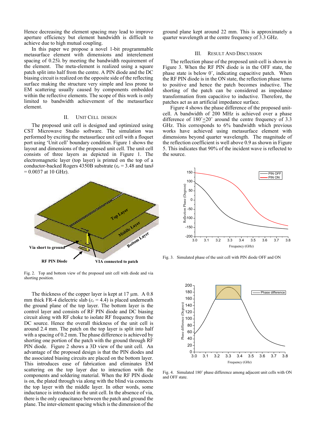Hence decreasing the element spacing may lead to improve aperture efficiency but element bandwidth is difficult to achieve due to high mutual coupling.

In this paper we propose a novel 1-bit programmable metasurface element with dimensions and interelement spacing of 0.25λ by meeting the bandwidth requirement of the element. The meta-element is realized using a square patch split into half from the centre. A PIN diode and the DC biasing circuit is realized on the opposite side of the reflecting surface making the structure very simple and less prone to EM scattering usually caused by components embedded within the reflective elements. The scope of this work is only limited to bandwidth achievement of the metasurface element.

## II. UNIT CELL DESIGN

The proposed unit cell is designed and optimized using CST Microwave Studio software. The simulation was performed by exciting the metasurface unit cell with a floquet port using 'Unit cell' boundary condition. Figure 1 shows the layout and dimensions of the proposed unit cell. The unit cell consists of three layers as depicted in Figure 1. The electromagnetic layer (top layer) is printed on the top of a conductor-backed Rogers 4350B substrate ( $\varepsilon_r$  = 3.48 and tan $\delta$  $= 0.0037$  at 10 GHz).



Fig. 2. Top and bottom view of the proposed unit cell with diode and via shorting position.

The thickness of the copper layer is kept at  $17 \mu m$ . A 0.8 mm thick FR-4 dielectric slab ( $\varepsilon_r$  = 4.4) is placed underneath the ground plane of the top layer. The bottom layer is the control layer and consists of RF PIN diode and DC biasing circuit along with RF choke to isolate RF frequency from the DC source. Hence the overall thickness of the unit cell is around 2.4 mm. The patch on the top layer is split into half with a spacing of 0.2 mm. The phase difference is achieved by shorting one portion of the patch with the ground through RF PIN diode. Figure 2 shows a 3D view of the unit cell. An advantage of the proposed design is that the PIN diodes and the associated biasing circuits are placed on the bottom layer. This introduces ease of fabrication and eliminates EM scattering on the top layer due to interaction with the components and soldering material. When the RF PIN diode is on, the plated through via along with the blind via connects the top layer with the middle layer. In other words, some inductance is introduced in the unit cell. In the absence of via, there is the only capacitance between the patch and ground the plane. The inter-element spacing which is the dimension of the ground plane kept around 22 mm. This is approximately a quarter wavelength at the centre frequency of 3.3 GHz.

#### III. RESULT AND DISCUSSION

The reflection phase of the proposed unit-cell is shown in Figure 3. When the RF PIN diode is in the OFF state, the phase state is below 0˚, indicating capacitive patch. When the RF PIN diode is in the ON state, the reflection phase turns to positive and hence the patch becomes inductive. The shorting of the patch can be considered as impedance transformation from capacitive to inductive. Therefore, the patches act as an artificial impedance surface.

Figure 4 shows the phase difference of the proposed unitcell. A bandwidth of 200 MHz is achieved over a phase difference of  $180^\circ \pm 20^\circ$  around the centre frequency of 3.3 GHz. This corresponds to 6% bandwidth which previous works have achieved using metasurface element with dimensions beyond quarter wavelength. The magnitude of the reflection coefficient is well above 0.9 as shown in Figure 5. This indicates that 90% of the incident wave is reflected to the source.



Fig. 3. Simulated phase of the unit cell with PIN diode OFF and ON



Fig. 4. Simulated 180˚ phase difference among adjacent unit cells with ON and OFF state.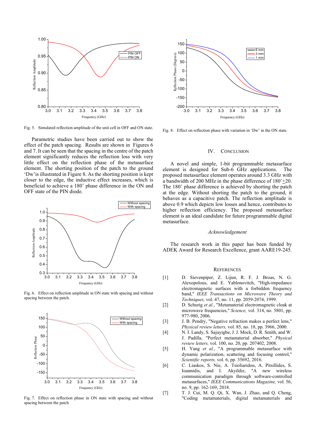

Fig. 5. Simulated reflection amplitude of the unit cell in OFF and ON state.

Parametric studies have been carried out to show the effect of the patch spacing. Results are shown in Figures 6 and 7. It can be seen that the spacing in the centre of the patch element significantly reduces the reflection loss with very little effect on the reflection phase of the metasurface element. The shorting position of the patch to the ground 'Dw'is illustrated in Figure 8. As the shorting position is kept closer to the edge, the inductive effect increases, which is beneficial to achieve a 180˚ phase difference in the ON and OFF state of the PIN diode.



Fig. 6. Effect on reflection amplitude in ON state with spacing and without spacing between the patch.



Fig. 7. Effect on reflection phase in ON state with spacing and without spacing between the patch



Fig. 8. Effect on reflection phase with variation in 'Dw' in the ON state.

#### IV. CONCLUSION

A novel and simple, 1-bit programmable metasurface element is designed for Sub-6 GHz applications. The proposed metasurface element operates around 3.3 GHz with a bandwidth of 200 MHz in the phase difference of  $180^{\circ}$  + 20. The 180° phase difference is achieved by shorting the patch at the edge. Without shorting the patch to the ground, it behaves as a capacitive patch. The reflection amplitude is above 0.9 which depicts low losses and hence, contributes to higher reflection efficiency. The proposed metasurface element is an ideal candidate for future programmable digital metasurface.

#### *Acknowledgement*

The research work in this paper has been funded by ADEK Award for Research Excellence, grant AARE19-245.

## **REFERENCES**

- [1] D. Sievenpiper, Z. Lijun, R. F. J. Broas, N. G. Alexopolous, and E. Yablonovitch, "High-impedance electromagnetic surfaces with a forbidden frequency band," *IEEE Transactions on Microwave Theory and Techniques,* vol. 47, no. 11, pp. 2059-2074, 1999.
- [2] D. Schurig *et al.*, "Metamaterial electromagnetic cloak at microwave frequencies," *Science,* vol. 314, no. 5801, pp. 977-980, 2006.
- [3] J. B. Pendry, "Negative refraction makes a perfect lens," *Physical review letters,* vol. 85, no. 18, pp. 3966, 2000.
- [4] N. I. Landy, S. Sajuyigbe, J. J. Mock, D. R. Smith, and W. J. Padilla, "Perfect metamaterial absorber," *Physical review letters,* vol. 100, no. 20, pp. 207402, 2008.
- [5] H. Yang *et al.*, "A programmable metasurface with dynamic polarization, scattering and focusing control," *Scientific reports,* vol. 6, pp. 35692, 2016.
- [6] C. Liaskos, S. Nie, A. Tsioliaridou, A. Pitsillides, S. Ioannidis, and I. Akyildiz, "A new wireless communication paradigm through software-controlled metasurfaces," *IEEE Communications Magazine,* vol. 56, no. 9, pp. 162-169, 2018.
- [7] T. J. Cui, M. Q. Qi, X. Wan, J. Zhao, and Q. Cheng, "Coding metamaterials, digital metamaterials and